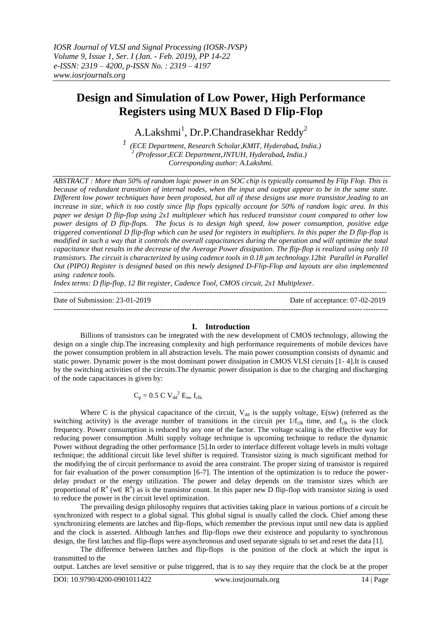# **Design and Simulation of Low Power, High Performance Registers using MUX Based D Flip-Flop**

A.Lakshmi $^1$ , Dr.P.Chandrasekhar Reddy<sup>2</sup>

*1 (ECE Department, Research Scholar,KMIT, Hyderabad, India.) 2 (Professor,ECE Department,JNTUH, Hyderabad, India.) Corresponding author: A.Lakshmi.*

*ABSTRACT : More than 50% of random logic power in an SOC chip is typically consumed by Flip Flop. This is because of redundant transition of internal nodes, when the input and output appear to be in the same state. Different low power techniques have been proposed, but all of these designs use more transistor,leading to an increase in size, which is too costly since flip flops typically account for 50% of random logic area. In this paper we design D flip-flop using 2x1 multiplexer which has reduced transistor count compared to other low power designs of D flip-flops. The focus is to design high speed, low power consumption, positive edge triggered conventional D flip-flop which can be used for registers in multipliers. In this paper the D flip-flop is modified in such a way that it controls the overall capacitances during the operation and will optimize the total capacitance that results in the decrease of the Average Power dissipation. The flip-flop is realized using only 10 transistors. The circuit is characterized by using cadence tools in 0.18 µm technology.12bit Parallel in Parallel Out (PIPO) Register is designed based on this newly designed D-Flip-Flop and layouts are also implemented using cadence tools.*

*Index terms: D flip-flop, 12 Bit register, Cadence Tool, CMOS circuit, 2x1 Multiplexer*.

Date of Submission: 23-01-2019 Date of acceptance: 07-02-2019

## **I. Introduction**

---------------------------------------------------------------------------------------------------------------------------------------

---------------------------------------------------------------------------------------------------------------------------------------

Billions of transistors can be integrated with the new development of CMOS technology, allowing the design on a single chip.The increasing complexity and high performance requirements of mobile devices have the power consumption problem in all abstraction levels. The main power consumption consists of dynamic and static power. Dynamic power is the most dominant power dissipation in CMOS VLSI circuits [1- 4].It is caused by the switching activities of the circuits.The dynamic power dissipation is due to the charging and discharging of the node capacitances is given by:

# $C_p = 0.5 \text{ C V}_{dd}^2 \text{ E}_{sw} \text{ f}_{clk.}$

Where C is the physical capacitance of the circuit,  $V_{dd}$  is the supply voltage,  $E(sw)$  (referred as the switching activity) is the average number of transitions in the circuit per  $1/f_{c1k}$  time, and  $f_{c1k}$  is the clock frequency. Power consumption is reduced by any one of the factor. The voltage scaling is the effective way for reducing power consumption .Multi supply voltage technique is upcoming technique to reduce the dynamic Power without degrading the other performance [5].In order to interface different voltage levels in multi voltage technique; the additional circuit like level shifter is required. Transistor sizing is much significant method for the modifying the of circuit performance to avoid the area constraint. The proper sizing of transistor is required for fair evaluation of the power consumption [6-7]. The intention of the optimization is to reduce the powerdelay product or the energy utilization. The power and delay depends on the transistor sizes which are proportional of  $R^n$  (w∈  $R^n$ ) as is the transistor count. In this paper new D flip-flop with transistor sizing is used to reduce the power in the circuit level optimization.

The prevailing design philosophy requires that activities taking place in various portions of a circuit be synchronized with respect to a global signal. This global signal is usually called the clock. Chief among these synchronizing elements are latches and flip-flops, which remember the previous input until new data is applied and the clock is asserted. Although latches and flip-flops owe their existence and popularity to synchronous design, the first latches and flip-flops were asynchronous and used separate signals to set and reset the data [1].

The difference between latches and flip-flops is the position of the clock at which the input is transmitted to the

output. Latches are level sensitive or pulse triggered, that is to say they require that the clock be at the proper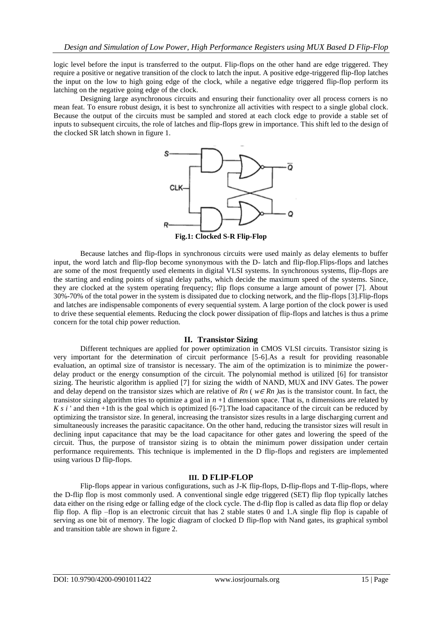logic level before the input is transferred to the output. Flip-flops on the other hand are edge triggered. They require a positive or negative transition of the clock to latch the input. A positive edge-triggered flip-flop latches the input on the low to high going edge of the clock, while a negative edge triggered flip-flop perform its latching on the negative going edge of the clock.

Designing large asynchronous circuits and ensuring their functionality over all process corners is no mean feat. To ensure robust design, it is best to synchronize all activities with respect to a single global clock. Because the output of the circuits must be sampled and stored at each clock edge to provide a stable set of inputs to subsequent circuits, the role of latches and flip-flops grew in importance. This shift led to the design of the clocked SR latch shown in figure 1.



Because latches and flip-flops in synchronous circuits were used mainly as delay elements to buffer input, the word latch and flip-flop become synonymous with the D- latch and flip-flop.Flips-flops and latches are some of the most frequently used elements in digital VLSI systems. In synchronous systems, flip-flops are the starting and ending points of signal delay paths, which decide the maximum speed of the systems. Since, they are clocked at the system operating frequency; flip flops consume a large amount of power [7]. About 30%-70% of the total power in the system is dissipated due to clocking network, and the flip-flops [3].Flip-flops and latches are indispensable components of every sequential system. A large portion of the clock power is used to drive these sequential elements. Reducing the clock power dissipation of flip-flops and latches is thus a prime concern for the total chip power reduction.

## **II. Transistor Sizing**

Different techniques are applied for power optimization in CMOS VLSI circuits. Transistor sizing is very important for the determination of circuit performance [5-6].As a result for providing reasonable evaluation, an optimal size of transistor is necessary. The aim of the optimization is to minimize the powerdelay product or the energy consumption of the circuit. The polynomial method is utilized [6] for transistor sizing. The heuristic algorithm is applied [7] for sizing the width of NAND, MUX and INV Gates. The power and delay depend on the transistor sizes which are relative of *Rn* ( *w*<sup>∈</sup> *Rn )*as is the transistor count. In fact, the transistor sizing algorithm tries to optimize a goal in  $n + 1$  dimension space. That is, n dimensions are related by *K s i* ' and the*n* +1th is the goal which is optimized [6-7]. The load capacitance of the circuit can be reduced by optimizing the transistor size. In general, increasing the transistor sizes results in a large discharging current and simultaneously increases the parasitic capacitance. On the other hand, reducing the transistor sizes will result in declining input capacitance that may be the load capacitance for other gates and lowering the speed of the circuit. Thus, the purpose of transistor sizing is to obtain the minimum power dissipation under certain performance requirements. This technique is implemented in the D flip-flops and registers are implemented using various D flip-flops.

## **III. D FLIP-FLOP**

Flip-flops appear in various configurations, such as J-K flip-flops, D-flip-flops and T-flip-flops, where the D-flip flop is most commonly used. A conventional single edge triggered (SET) flip flop typically latches data either on the rising edge or falling edge of the clock cycle. The d-flip flop is called as data flip flop or delay flip flop. A flip –flop is an electronic circuit that has 2 stable states 0 and 1.A single flip flop is capable of serving as one bit of memory. The logic diagram of clocked D flip-flop with Nand gates, its graphical symbol and transition table are shown in figure 2.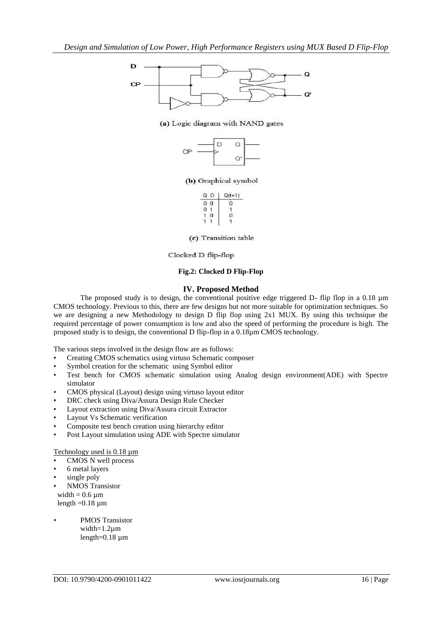

#### (a) Logic diagram with NAND gates



#### (b) Graphical symbol

| $Q(t+1)$ |
|----------|
|          |
|          |
|          |
|          |

(c) Transition table

#### Clocked D flip-flop

## **Fig.2: Clocked D Flip-Flop**

## **IV. Proposed Method**

The proposed study is to design, the conventional positive edge triggered D- flip flop in a 0.18  $\mu$ m CMOS technology. Previous to this, there are few designs but not more suitable for optimization techniques. So we are designing a new Methodology to design D flip flop using 2x1 MUX. By using this technique the required percentage of power consumption is low and also the speed of performing the procedure is high. The proposed study is to design, the conventional D flip-flop in a 0.18µm CMOS technology.

The various steps involved in the design flow are as follows:

- Creating CMOS schematics using virtuso Schematic composer
- Symbol creation for the schematic using Symbol editor
- Test bench for CMOS schematic simulation using Analog design environment(ADE) with Spectre simulator
- CMOS physical (Layout) design using virtuso layout editor
- DRC check using Diva/Assura Design Rule Checker
- Layout extraction using Diva/Assura circuit Extractor
- Layout Vs Schematic verification
- Composite test bench creation using hierarchy editor
- Post Layout simulation using ADE with Spectre simulator

#### Technology used is  $0.18 \mu m$

- CMOS N well process
- 6 metal layers
- single poly
- NMOS Transistor

width  $= 0.6 \mu m$ length  $=0.18 \mu m$ 

PMOS Transistor width=1.2µm length=0.18 µm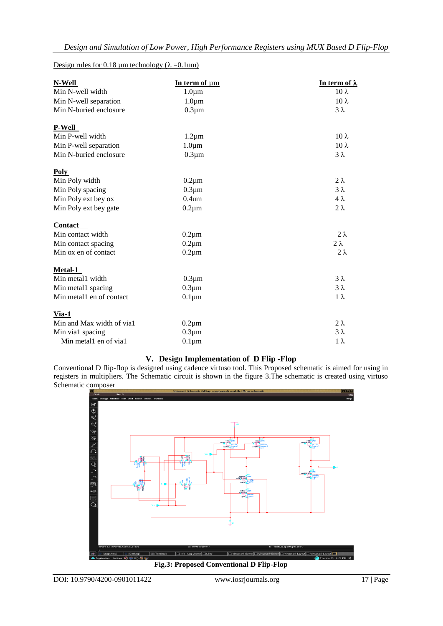# Design rules for 0.18  $\mu$ m technology ( $\lambda = 0.1$ um)

| N-Well                    | In term of um     | <u>In term of λ</u> |
|---------------------------|-------------------|---------------------|
| Min N-well width          | $1.0 \mu m$       | $10 \lambda$        |
| Min N-well separation     | $1.0 \mu m$       | $10 \lambda$        |
| Min N-buried enclosure    | $0.3 \mu m$       | $3\lambda$          |
| <b>P-Well</b>             |                   |                     |
| Min P-well width          | $1.2 \mu m$       | $10 \lambda$        |
| Min P-well separation     | $1.0 \mu m$       | $10 \lambda$        |
| Min N-buried enclosure    | $0.3 \mu m$       | $3 \lambda$         |
| Poly                      |                   |                     |
| Min Poly width            | $0.2 \mu m$       | $2 \lambda$         |
| Min Poly spacing          | $0.3 \mu m$       | $3\lambda$          |
| Min Poly ext bey ox       | 0.4 <sub>um</sub> | $4\lambda$          |
| Min Poly ext bey gate     | $0.2 \mu m$       | $2 \lambda$         |
| Contact                   |                   |                     |
| Min contact width         | $0.2 \mu m$       | $2 \lambda$         |
| Min contact spacing       | $0.2 \mu m$       | $2 \lambda$         |
| Min ox en of contact      | $0.2 \mu m$       | $2 \lambda$         |
| Metal-1                   |                   |                     |
| Min metal1 width          | $0.3 \mu m$       | $3\lambda$          |
| Min metal1 spacing        | $0.3 \mu m$       | $3 \lambda$         |
| Min metal1 en of contact  | $0.1 \mu m$       | $1 \lambda$         |
| $Via-1$                   |                   |                     |
| Min and Max width of via1 | $0.2 \mu m$       | $2\lambda$          |
| Min via1 spacing          | $0.3 \mu m$       | $3 \lambda$         |
| Min metal1 en of via1     | $0.1 \mu m$       | $1 \lambda$         |

# **V. Design Implementation of D Flip -Flop**

Conventional D flip-flop is designed using cadence virtuso tool. This Proposed schematic is aimed for using in registers in multipliers. The Schematic circuit is shown in the figure 3.The schematic is created using virtuso Schematic composer



**Fig.3: Proposed Conventional D Flip-Flop**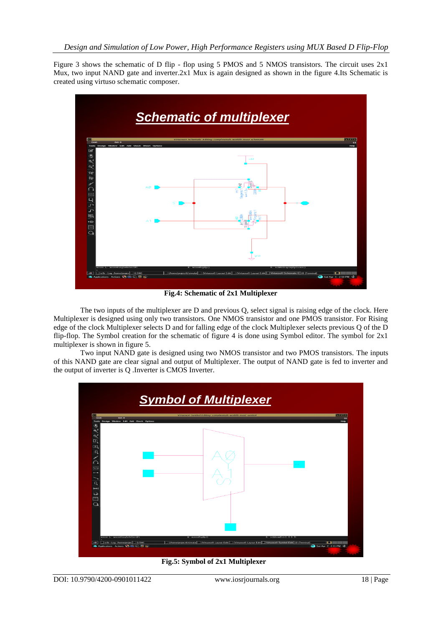Figure 3 shows the schematic of D flip - flop using 5 PMOS and 5 NMOS transistors. The circuit uses 2x1 Mux, two input NAND gate and inverter.2x1 Mux is again designed as shown in the figure 4.Its Schematic is created using virtuso schematic composer.



**Fig.4: Schematic of 2x1 Multiplexer**

The two inputs of the multiplexer are D and previous Q, select signal is raising edge of the clock. Here Multiplexer is designed using only two transistors. One NMOS transistor and one PMOS transistor. For Rising edge of the clock Multiplexer selects D and for falling edge of the clock Multiplexer selects previous Q of the D flip-flop. The Symbol creation for the schematic of figure 4 is done using Symbol editor. The symbol for 2x1 multiplexer is shown in figure 5.

Two input NAND gate is designed using two NMOS transistor and two PMOS transistors. The inputs of this NAND gate are clear signal and output of Multiplexer. The output of NAND gate is fed to inverter and the output of inverter is Q .Inverter is CMOS Inverter.



 **Fig.5: Symbol of 2x1 Multiplexer**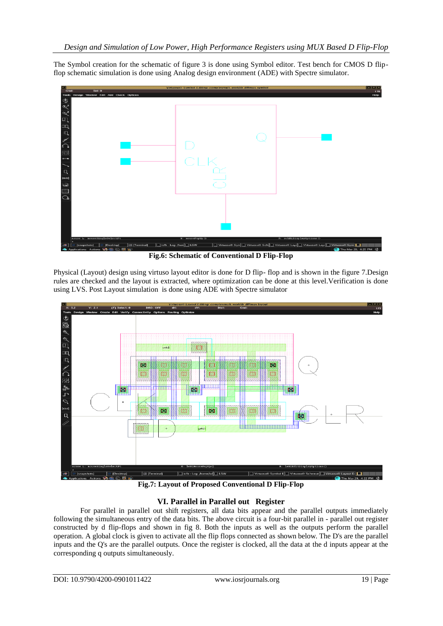The Symbol creation for the schematic of figure 3 is done using Symbol editor. Test bench for CMOS D flipflop schematic simulation is done using Analog design environment (ADE) with Spectre simulator.



**Fig.6: Schematic of Conventional D Flip-Flop**

Physical (Layout) design using virtuso layout editor is done for D flip- flop and is shown in the figure 7.Design rules are checked and the layout is extracted, where optimization can be done at this level.Verification is done using LVS. Post Layout simulation is done using ADE with Spectre simulator



**Fig.7: Layout of Proposed Conventional D Flip-Flop**

# **VI. Parallel in Parallel out Register**

For parallel in parallel out shift registers, all data bits appear and the parallel outputs immediately following the simultaneous entry of the data bits. The above circuit is a four-bit parallel in - parallel out register constructed by d flip-flops and shown in fig 8. Both the inputs as well as the outputs perform the parallel operation. A global clock is given to activate all the flip flops connected as shown below. The D's are the parallel inputs and the Q's are the parallel outputs. Once the register is clocked, all the data at the d inputs appear at the corresponding q outputs simultaneously.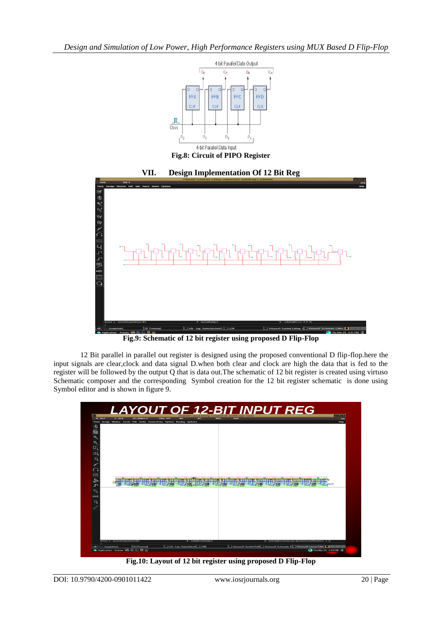

**Fig.8: Circuit of PIPO Register**



**Fig.9: Schematic of 12 bit register using proposed D Flip-Flop**

12 Bit parallel in parallel out register is designed using the proposed conventional D flip-flop.here the input signals are clear,clock and data signal D.when both clear and clock are high the data that is fed to the register will be followed by the output Q that is data out.The schematic of 12 bit register is created using virtuso Schematic composer and the corresponding Symbol creation for the 12 bit register schematic is done using Symbol editor and is shown in figure 9.



**Fig.10: Layout of 12 bit register using proposed D Flip-Flop**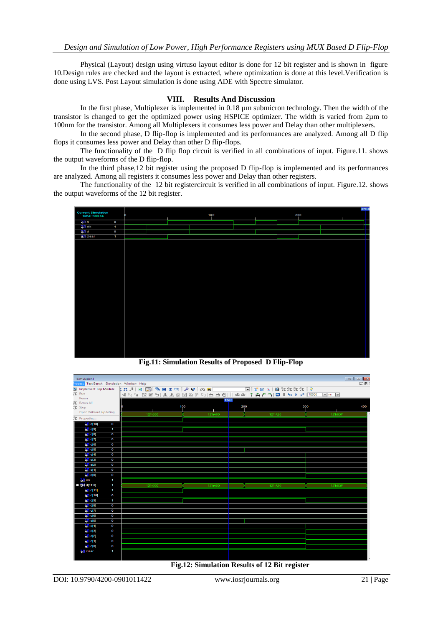Physical (Layout) design using virtuso layout editor is done for 12 bit register and is shown in figure 10.Design rules are checked and the layout is extracted, where optimization is done at this level.Verification is done using LVS. Post Layout simulation is done using ADE with Spectre simulator.

# **VIII. Results And Discussion**

In the first phase, Multiplexer is implemented in 0.18  $\mu$ m submicron technology. Then the width of the transistor is changed to get the optimized power using HSPICE optimizer. The width is varied from 2µm to 100nm for the transistor. Among all Multiplexers it consumes less power and Delay than other multiplexers.

In the second phase, D flip-flop is implemented and its performances are analyzed. Among all D flip flops it consumes less power and Delay than other D flip-flops.

The functionality of the D flip flop circuit is verified in all combinations of input. Figure.11. shows the output waveforms of the D flip-flop.

In the third phase,12 bit register using the proposed D flip-flop is implemented and its performances are analyzed. Among all registers it consumes less power and Delay than other registers.

The functionality of the 12 bit registercircuit is verified in all combinations of input. Figure.12. shows the output waveforms of the 12 bit register.



**Fig.11: Simulation Results of Proposed D Flip-Flop**

| $\Box$ e x<br>- [Simulation]<br><b>Process Test Bench Simulation Window Help</b> |                |         |                |     |         | $\Box$  |     |
|----------------------------------------------------------------------------------|----------------|---------|----------------|-----|---------|---------|-----|
|                                                                                  |                |         |                |     |         |         |     |
|                                                                                  |                |         |                |     |         |         |     |
| Rerun                                                                            |                |         |                |     |         |         |     |
| 趾 Rerun All                                                                      |                |         | 174.0          |     |         |         |     |
| 建 Stop                                                                           |                |         | 100            | 200 |         | 300     | 400 |
| <b>Open Without Updating</b>                                                     |                |         |                |     |         |         |     |
| 理 Properties                                                                     |                | 12'h000 | 12/hA00        |     | 12/hA20 | 12'h83F |     |
| $5$ <sup><math>\parallel</math></sup> q[10]                                      | $\mathbf 0$    |         |                |     |         |         |     |
| <b>off</b> q[9]                                                                  | $\mathbf{1}$   |         |                |     |         |         |     |
| $6$ all $181$                                                                    | $\mathbf 0$    |         |                |     |         |         |     |
| 60q(7)                                                                           | $\mathbf 0$    |         |                |     |         |         |     |
| $\frac{1}{2}$   q[6]                                                             | $\mathbf o$    |         |                |     |         |         |     |
| <b>है, । वा</b> 5]                                                               | $\mathbf o$    |         |                |     |         |         |     |
| $6$ <sup>[]</sup> q[4]                                                           | $\mathbf 0$    |         |                |     |         |         |     |
| $6\sqrt{1}$ a[3]                                                                 | $\mathbf 0$    |         |                |     |         |         |     |
| $31$ q(2)                                                                        | $\mathbf{o}$   |         |                |     |         |         |     |
| $60$ q[1]                                                                        | $\mathbf o$    |         |                |     |         |         |     |
| $51$ q[0]                                                                        | $\mathbf o$    |         |                |     |         |         |     |
| oli dk                                                                           | $\mathbf{1}$   |         |                |     |         |         |     |
| ■ M d[11:0]                                                                      | 1 <sub>1</sub> | 12'h000 | <b>12/hA00</b> |     | 12/hA20 | 12'h83F |     |
| $31$ d(11)                                                                       | ×              |         |                |     |         |         |     |
| <b>选用 d[10]</b>                                                                  | $\mathbf o$    |         |                |     |         |         |     |
| $\frac{1}{2}$ d[9]                                                               | 1              |         |                |     |         |         |     |
| $6$ $\parallel$ d[8]                                                             | $\mathbf{o}$   |         |                |     |         |         |     |
| $60$ d(7)                                                                        | $\mathbf 0$    |         |                |     |         |         |     |
| <b>ö.[]</b> d[6]                                                                 | $\mathbf o$    |         |                |     |         |         |     |
| <b>है। वा</b> 5]                                                                 | $\mathbf 0$    |         |                |     |         |         |     |
| $6$ [ $ $ d[4]                                                                   | $\mathbf 0$    |         |                |     |         |         |     |
| $6$ $\parallel$ d[3]                                                             | $\mathbf 0$    |         |                |     |         |         |     |
| $31$ d(2)                                                                        | $\mathbf{o}$   |         |                |     |         |         |     |
| <b>&amp;Il</b> d[1]                                                              | $\mathbf o$    |         |                |     |         |         |     |
| $51$ d[0]                                                                        | $\mathbf o$    |         |                |     |         |         |     |
| <b>on</b> clear                                                                  | $\mathbf{1}$   |         |                |     |         |         |     |
|                                                                                  |                |         |                |     |         |         |     |
|                                                                                  |                |         |                |     |         |         |     |

 **Fig.12: Simulation Results of 12 Bit register**